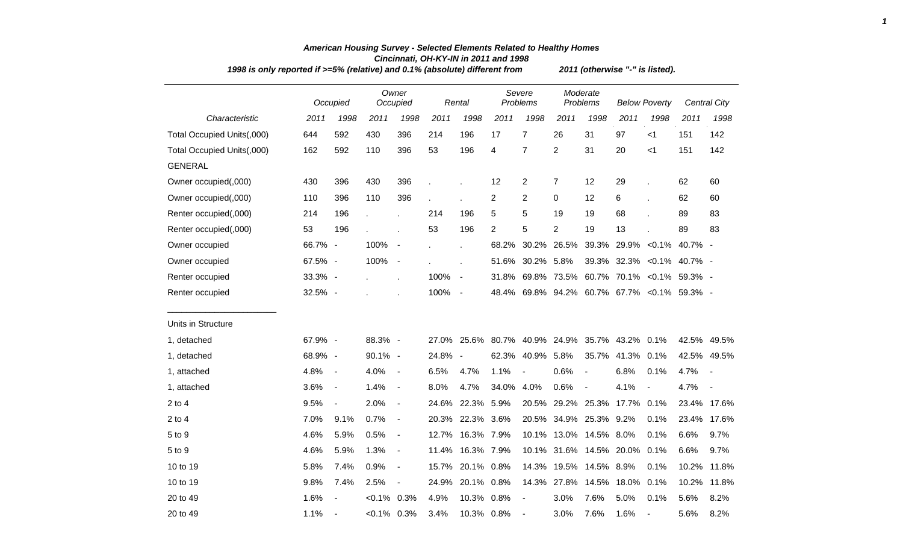| 1998 is only reported if >=5% (relative) and 0.1% (absolute) different from |         |                          |               |                          |                |                          |                |                          |                        |                          | 2011 (otherwise "-" is listed).        |                          |       |                     |
|-----------------------------------------------------------------------------|---------|--------------------------|---------------|--------------------------|----------------|--------------------------|----------------|--------------------------|------------------------|--------------------------|----------------------------------------|--------------------------|-------|---------------------|
|                                                                             |         | Occupied                 |               | Owner<br>Occupied        |                | Rental                   |                | Severe<br>Problems       |                        | Moderate<br>Problems     |                                        | <b>Below Poverty</b>     |       | <b>Central City</b> |
| Characteristic                                                              | 2011    | 1998                     | 2011          | 1998                     | 2011           | 1998                     | 2011           | 1998                     | 2011                   | 1998                     | 2011                                   | 1998                     | 2011  | 1998                |
| Total Occupied Units(,000)                                                  | 644     | 592                      | 430           | 396                      | 214            | 196                      | 17             | $\overline{7}$           | 26                     | 31                       | 97                                     | $<$ 1                    | 151   | 142                 |
| Total Occupied Units(,000)                                                  | 162     | 592                      | 110           | 396                      | 53             | 196                      | 4              | $\overline{7}$           | $\overline{2}$         | 31                       | 20                                     | $<$ 1                    | 151   | 142                 |
| <b>GENERAL</b>                                                              |         |                          |               |                          |                |                          |                |                          |                        |                          |                                        |                          |       |                     |
| Owner occupied(,000)                                                        | 430     | 396                      | 430           | 396                      |                |                          | 12             | 2                        | 7                      | 12                       | 29                                     |                          | 62    | 60                  |
| Owner occupied(,000)                                                        | 110     | 396                      | 110           | 396                      | $\blacksquare$ |                          | 2              | 2                        | 0                      | 12                       | 6                                      |                          | 62    | 60                  |
| Renter occupied(,000)                                                       | 214     | 196                      |               | J.                       | 214            | 196                      | 5              | 5                        | 19                     | 19                       | 68                                     |                          | 89    | 83                  |
| Renter occupied(,000)                                                       | 53      | 196                      |               |                          | 53             | 196                      | $\overline{2}$ | 5                        | $\overline{2}$         | 19                       | 13                                     |                          | 89    | 83                  |
| Owner occupied                                                              | 66.7% - |                          | 100%          | $\overline{\phantom{a}}$ |                | $\mathbf{r}$             | 68.2%          | 30.2%                    | 26.5%                  | 39.3%                    |                                        | 29.9% < 0.1% 40.7% -     |       |                     |
| Owner occupied                                                              | 67.5% - |                          | 100%          | $\overline{\phantom{a}}$ |                | $\mathbf{r}$             | 51.6%          | 30.2%                    | 5.8%                   | 39.3%                    |                                        | 32.3% < 0.1% 40.7% -     |       |                     |
| Renter occupied                                                             | 33.3% - |                          |               | $\mathbf{r}$             | 100%           | $\overline{\phantom{a}}$ | 31.8%          | 69.8%                    | 73.5%                  |                          | 60.7% 70.1% < 0.1% 59.3% -             |                          |       |                     |
| Renter occupied                                                             | 32.5% - |                          |               |                          | 100%           | $\sim$                   | 48.4%          |                          |                        |                          | 69.8% 94.2% 60.7% 67.7% < 0.1% 59.3% - |                          |       |                     |
| Units in Structure                                                          |         |                          |               |                          |                |                          |                |                          |                        |                          |                                        |                          |       |                     |
| 1, detached                                                                 | 67.9% - |                          | 88.3% -       |                          | 27.0%          | 25.6%                    | 80.7%          |                          | 40.9% 24.9%            |                          | 35.7% 43.2%                            | 0.1%                     |       | 42.5% 49.5%         |
| 1, detached                                                                 | 68.9% - |                          | 90.1% -       |                          | 24.8%          | $\sim$                   | 62.3%          | 40.9% 5.8%               |                        | 35.7%                    | 41.3% 0.1%                             |                          |       | 42.5% 49.5%         |
| 1, attached                                                                 | 4.8%    | $\overline{\phantom{a}}$ | 4.0%          | $\blacksquare$           | 6.5%           | 4.7%                     | 1.1%           | $\overline{\phantom{a}}$ | 0.6%                   | $\overline{\phantom{a}}$ | 6.8%                                   | 0.1%                     | 4.7%  | $\sim$              |
| 1, attached                                                                 | 3.6%    | $\overline{\phantom{a}}$ | 1.4%          | $\blacksquare$           | 8.0%           | 4.7%                     | 34.0%          | 4.0%                     | 0.6%                   | $\blacksquare$           | 4.1%                                   | $\overline{\phantom{a}}$ | 4.7%  |                     |
| $2$ to 4                                                                    | 9.5%    | $\overline{\phantom{a}}$ | 2.0%          | $\blacksquare$           | 24.6%          | 22.3%                    | 5.9%           | 20.5%                    | 29.2%                  | 25.3%                    | 17.7%                                  | 0.1%                     |       | 23.4% 17.6%         |
| $2$ to 4                                                                    | 7.0%    | 9.1%                     | 0.7%          | $\blacksquare$           | 20.3%          | 22.3% 3.6%               |                |                          | 20.5% 34.9% 25.3% 9.2% |                          |                                        | 0.1%                     |       | 23.4% 17.6%         |
| 5 to 9                                                                      | 4.6%    | 5.9%                     | 0.5%          | $\blacksquare$           | 12.7%          | 16.3%                    | 7.9%           | 10.1%                    |                        | 13.0% 14.5%              | $8.0\%$                                | 0.1%                     | 6.6%  | 9.7%                |
| 5 to 9                                                                      | 4.6%    | 5.9%                     | 1.3%          | $\blacksquare$           | 11.4%          | 16.3% 7.9%               |                | 10.1%                    |                        | 31.6% 14.5%              | 20.0%                                  | 0.1%                     | 6.6%  | 9.7%                |
| 10 to 19                                                                    | 5.8%    | 7.4%                     | 0.9%          | $\blacksquare$           | 15.7%          | 20.1%                    | 0.8%           |                          | 14.3% 19.5% 14.5%      |                          | 8.9%                                   | 0.1%                     | 10.2% | 11.8%               |
| 10 to 19                                                                    | 9.8%    | 7.4%                     | 2.5%          | $\blacksquare$           | 24.9%          | 20.1%                    | 0.8%           | 14.3%                    | 27.8%                  | 14.5%                    | 18.0%                                  | 0.1%                     | 10.2% | 11.8%               |
| 20 to 49                                                                    | 1.6%    |                          | $<0.1\%$      | 0.3%                     | 4.9%           | 10.3%                    | 0.8%           |                          | 3.0%                   | 7.6%                     | 5.0%                                   | 0.1%                     | 5.6%  | 8.2%                |
| 20 to 49                                                                    | 1.1%    |                          | $<0.1\%$ 0.3% |                          | 3.4%           | 10.3% 0.8%               |                |                          | 3.0%                   | 7.6%                     | 1.6%                                   | $\overline{\phantom{a}}$ | 5.6%  | 8.2%                |

## *American Housing Survey - Selected Elements Related to Healthy Homes Cincinnati, OH-KY-IN in 2011 and 1998*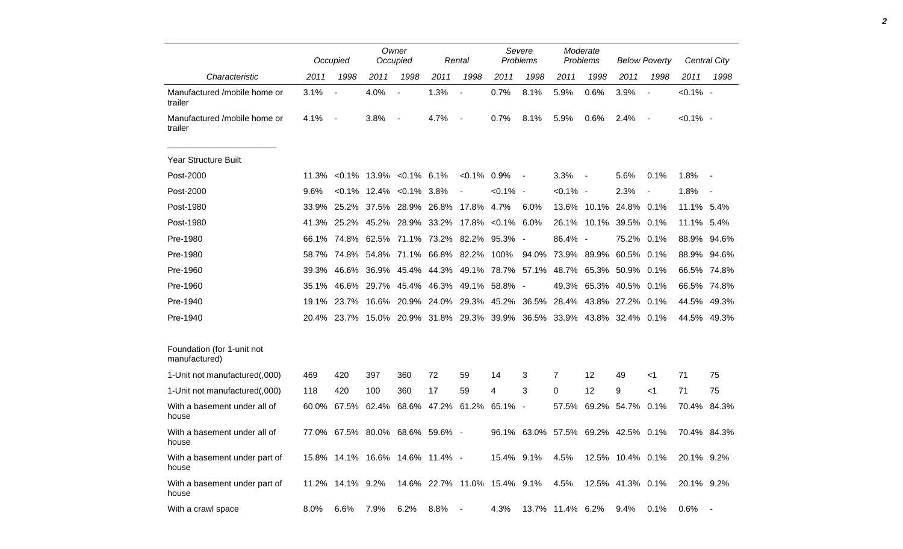|                                             |       | Occupied         |                                       | Owner<br>Occupied        |                                     | Rental                   |               | Severe<br>Problems                                                     |             | Moderate<br>Problems |                        | <b>Below Poverty</b>     |             | Central City |
|---------------------------------------------|-------|------------------|---------------------------------------|--------------------------|-------------------------------------|--------------------------|---------------|------------------------------------------------------------------------|-------------|----------------------|------------------------|--------------------------|-------------|--------------|
| Characteristic                              | 2011  | 1998             | 2011                                  | 1998                     | 2011                                | 1998                     | 2011          | 1998                                                                   | 2011        | 1998                 | 2011                   | 1998                     | 2011        | 1998         |
| Manufactured /mobile home or<br>trailer     | 3.1%  | $\blacksquare$   | 4.0%                                  | $\overline{\phantom{a}}$ | 1.3%                                | $\overline{a}$           | 0.7%          | 8.1%                                                                   | 5.9%        | 0.6%                 | 3.9%                   |                          | $< 0.1\%$ - |              |
| Manufactured /mobile home or<br>trailer     | 4.1%  | $\overline{a}$   | 3.8%                                  | $\overline{\phantom{a}}$ | 4.7%                                | $\overline{\phantom{a}}$ | 0.7%          | 8.1%                                                                   | 5.9%        | 0.6%                 | 2.4%                   | $\overline{\phantom{a}}$ | $< 0.1\%$ - |              |
| Year Structure Built                        |       |                  |                                       |                          |                                     |                          |               |                                                                        |             |                      |                        |                          |             |              |
| Post-2000                                   | 11.3% |                  | $< 0.1\%$ 13.9% $< 0.1\%$ 6.1%        |                          |                                     | $< 0.1\%$                | 0.9%          | $\sim$ $-$                                                             | 3.3%        | $\sim$ $-$           | 5.6%                   | 0.1%                     | 1.8%        |              |
| Post-2000                                   | 9.6%  |                  | $< 0.1\%$ 12.4% $< 0.1\%$ 3.8%        |                          |                                     | $\overline{\phantom{a}}$ | $< 0.1\%$ -   |                                                                        | $< 0.1\%$ - |                      | 2.3%                   |                          | 1.8%        |              |
| Post-1980                                   | 33.9% |                  | 25.2% 37.5% 28.9% 26.8% 17.8%         |                          |                                     |                          | 4.7%          | 6.0%                                                                   |             | 13.6% 10.1%          | 24.8% 0.1%             |                          | 11.1% 5.4%  |              |
| Post-1980                                   |       | 41.3% 25.2%      |                                       |                          | 45.2% 28.9% 33.2% 17.8% < 0.1% 6.0% |                          |               |                                                                        |             |                      | 26.1% 10.1% 39.5% 0.1% |                          | 11.1% 5.4%  |              |
| Pre-1980                                    | 66.1% |                  | 74.8% 62.5% 71.1% 73.2% 82.2% 95.3% - |                          |                                     |                          |               |                                                                        | 86.4% -     |                      | 75.2% 0.1%             |                          |             | 88.9% 94.6%  |
| Pre-1980                                    | 58.7% |                  | 74.8% 54.8% 71.1% 66.8% 82.2%         |                          |                                     |                          | 100%          | 94.0%                                                                  |             | 73.9% 89.9%          | 60.5% 0.1%             |                          |             | 88.9% 94.6%  |
| Pre-1960                                    | 39.3% | 46.6%            |                                       |                          | 36.9% 45.4% 44.3%                   |                          |               | 49.1% 78.7% 57.1%                                                      |             | 48.7% 65.3%          | 50.9% 0.1%             |                          |             | 66.5% 74.8%  |
| Pre-1960                                    | 35.1% |                  | 46.6% 29.7% 45.4% 46.3%               |                          |                                     |                          | 49.1% 58.8% - |                                                                        |             | 49.3% 65.3%          | 40.5% 0.1%             |                          |             | 66.5% 74.8%  |
| Pre-1940                                    | 19.1% | 23.7%            |                                       |                          | 16.6% 20.9% 24.0%                   |                          | 29.3% 45.2%   | 36.5%                                                                  |             |                      | 28.4% 43.8% 27.2% 0.1% |                          |             | 44.5% 49.3%  |
| Pre-1940                                    |       |                  |                                       |                          |                                     |                          |               | 20.4% 23.7% 15.0% 20.9% 31.8% 29.3% 39.9% 36.5% 33.9% 43.8% 32.4% 0.1% |             |                      |                        |                          |             | 44.5% 49.3%  |
| Foundation (for 1-unit not<br>manufactured) |       |                  |                                       |                          |                                     |                          |               |                                                                        |             |                      |                        |                          |             |              |
| 1-Unit not manufactured(,000)               | 469   | 420              | 397                                   | 360                      | 72                                  | 59                       | 14            | 3                                                                      | 7           | 12                   | 49                     | <1                       | 71          | 75           |
| 1-Unit not manufactured(,000)               | 118   | 420              | 100                                   | 360                      | 17                                  | 59                       | 4             | 3                                                                      | 0           | 12                   | 9                      | $<$ 1                    | 71          | 75           |
| With a basement under all of<br>house       | 60.0% | 67.5%            | 62.4%                                 |                          | 68.6% 47.2%                         | 61.2%                    | 65.1% -       |                                                                        | 57.5%       |                      | 69.2% 54.7%            | 0.1%                     |             | 70.4% 84.3%  |
| With a basement under all of<br>house       | 77.0% |                  | 67.5% 80.0% 68.6% 59.6% -             |                          |                                     |                          |               | 96.1% 63.0% 57.5% 69.2% 42.5% 0.1%                                     |             |                      |                        |                          |             | 70.4% 84.3%  |
| With a basement under part of<br>house      |       |                  | 15.8% 14.1% 16.6% 14.6% 11.4% -       |                          |                                     |                          |               | 15.4% 9.1% 4.5%                                                        |             |                      | 12.5% 10.4% 0.1%       |                          | 20.1% 9.2%  |              |
| With a basement under part of<br>house      |       | 11.2% 14.1% 9.2% |                                       |                          |                                     |                          |               | 14.6% 22.7% 11.0% 15.4% 9.1% 4.5%                                      |             |                      | 12.5% 41.3% 0.1%       |                          | 20.1% 9.2%  |              |
| With a crawl space                          | 8.0%  | 6.6%             | 7.9%                                  | 6.2%                     | $8.8\%$                             | $\sim$ $-$               | 4.3%          |                                                                        |             |                      | 13.7% 11.4% 6.2% 9.4%  | 0.1%                     | 0.6%        |              |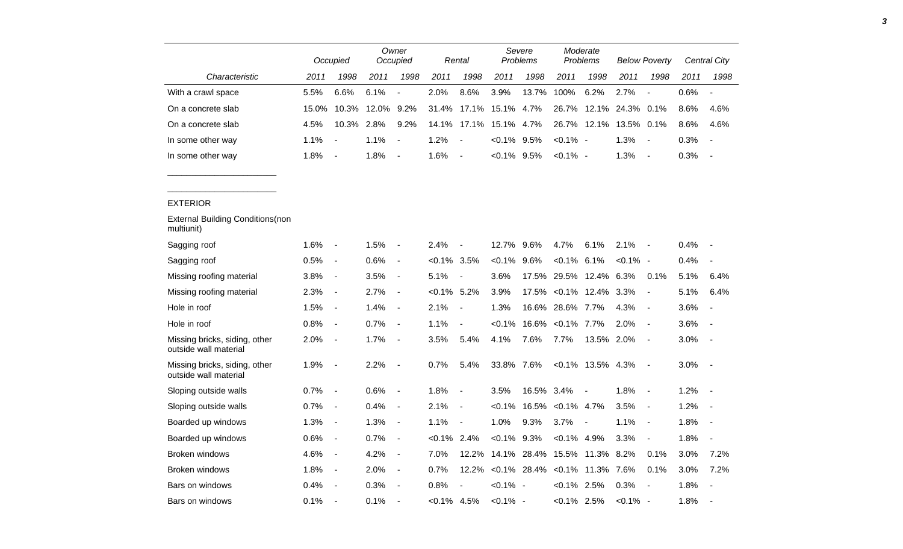|                                                        |       | Occupied                 |       | Owner<br>Occupied        |                | Rental                   |                | Severe<br>Problems        |                   | Moderate<br>Problems |             | <b>Below Poverty</b>     |      | Central City             |
|--------------------------------------------------------|-------|--------------------------|-------|--------------------------|----------------|--------------------------|----------------|---------------------------|-------------------|----------------------|-------------|--------------------------|------|--------------------------|
| Characteristic                                         | 2011  | 1998                     | 2011  | 1998                     | 2011           | 1998                     | 2011           | 1998                      | 2011              | 1998                 | 2011        | 1998                     | 2011 | 1998                     |
| With a crawl space                                     | 5.5%  | 6.6%                     | 6.1%  | $\overline{a}$           | 2.0%           | 8.6%                     | 3.9%           | 13.7%                     | 100%              | 6.2%                 | 2.7%        |                          | 0.6% | $\blacksquare$           |
| On a concrete slab                                     | 15.0% | 10.3%                    | 12.0% | 9.2%                     | 31.4%          | 17.1%                    | 15.1%          | 4.7%                      | 26.7%             | 12.1%                | 24.3%       | 0.1%                     | 8.6% | 4.6%                     |
| On a concrete slab                                     | 4.5%  | 10.3%                    | 2.8%  | 9.2%                     | 14.1%          | 17.1%                    | 15.1% 4.7%     |                           | 26.7%             |                      | 12.1% 13.5% | 0.1%                     | 8.6% | 4.6%                     |
| In some other way                                      | 1.1%  |                          | 1.1%  | $\blacksquare$           | 1.2%           |                          | $< 0.1\%$      | $9.5\%$                   | $< 0.1\%$ -       |                      | 1.3%        | $\blacksquare$           | 0.3% |                          |
| In some other way                                      | 1.8%  | $\blacksquare$           | 1.8%  | $\overline{\phantom{a}}$ | 1.6%           | $\blacksquare$           | $< 0.1\%$ 9.5% |                           | $< 0.1\%$ -       |                      | 1.3%        | $\blacksquare$           | 0.3% | $\overline{\phantom{a}}$ |
|                                                        |       |                          |       |                          |                |                          |                |                           |                   |                      |             |                          |      |                          |
| <b>EXTERIOR</b>                                        |       |                          |       |                          |                |                          |                |                           |                   |                      |             |                          |      |                          |
| <b>External Building Conditions (non</b><br>multiunit) |       |                          |       |                          |                |                          |                |                           |                   |                      |             |                          |      |                          |
| Sagging roof                                           | 1.6%  | $\blacksquare$           | 1.5%  | $\overline{\phantom{a}}$ | 2.4%           | $\overline{\phantom{a}}$ | 12.7%          | 9.6%                      | 4.7%              | 6.1%                 | 2.1%        | $\blacksquare$           | 0.4% | $\overline{\phantom{a}}$ |
| Sagging roof                                           | 0.5%  | $\blacksquare$           | 0.6%  | $\blacksquare$           | $<0.1\%$ 3.5%  |                          | $< 0.1\%$      | 9.6%                      | $< 0.1\%$         | 6.1%                 | <0.1%       | $\overline{\phantom{a}}$ | 0.4% |                          |
| Missing roofing material                               | 3.8%  | $\blacksquare$           | 3.5%  | $\blacksquare$           | 5.1%           | $\overline{\phantom{a}}$ | 3.6%           | 17.5%                     | 29.5%             | 12.4%                | 6.3%        | 0.1%                     | 5.1% | 6.4%                     |
| Missing roofing material                               | 2.3%  | $\blacksquare$           | 2.7%  | $\overline{\phantom{a}}$ | $< 0.1\%$ 5.2% |                          | 3.9%           | 17.5%                     |                   | $<0.1\%$ 12.4% 3.3%  |             | $\blacksquare$           | 5.1% | 6.4%                     |
| Hole in roof                                           | 1.5%  | $\blacksquare$           | 1.4%  | $\blacksquare$           | 2.1%           | $\overline{\phantom{a}}$ | 1.3%           | 16.6%                     | 28.6%             | 7.7%                 | 4.3%        | $\blacksquare$           | 3.6% | $\overline{\phantom{a}}$ |
| Hole in roof                                           | 0.8%  | $\blacksquare$           | 0.7%  | $\overline{\phantom{a}}$ | 1.1%           | $\overline{a}$           | <0.1%          | 16.6%                     | $< 0.1\%$ 7.7%    |                      | 2.0%        | $\blacksquare$           | 3.6% |                          |
| Missing bricks, siding, other<br>outside wall material | 2.0%  | $\overline{\phantom{a}}$ | 1.7%  | $\overline{\phantom{a}}$ | 3.5%           | 5.4%                     | 4.1%           | 7.6%                      | 7.7%              | 13.5% 2.0%           |             | $\blacksquare$           | 3.0% | $\overline{\phantom{a}}$ |
| Missing bricks, siding, other<br>outside wall material | 1.9%  | $\overline{\phantom{a}}$ | 2.2%  | $\overline{\phantom{a}}$ | 0.7%           | 5.4%                     | 33.8%          | 7.6%                      |                   | $<0.1\%$ 13.5% 4.3%  |             | $\blacksquare$           | 3.0% | $\overline{\phantom{a}}$ |
| Sloping outside walls                                  | 0.7%  | $\blacksquare$           | 0.6%  | $\overline{\phantom{a}}$ | 1.8%           | $\overline{\phantom{a}}$ | 3.5%           | 16.5% 3.4%                |                   |                      | 1.8%        | $\blacksquare$           | 1.2% |                          |
| Sloping outside walls                                  | 0.7%  | $\blacksquare$           | 0.4%  | $\overline{\phantom{a}}$ | 2.1%           | $\overline{\phantom{a}}$ | $< 0.1\%$      |                           | 16.5% < 0.1% 4.7% |                      | 3.5%        | $\blacksquare$           | 1.2% | $\blacksquare$           |
| Boarded up windows                                     | 1.3%  | $\overline{\phantom{a}}$ | 1.3%  | $\overline{\phantom{a}}$ | 1.1%           | $\overline{\phantom{a}}$ | 1.0%           | 9.3%                      | 3.7%              |                      | 1.1%        | $\blacksquare$           | 1.8% | $\overline{a}$           |
| Boarded up windows                                     | 0.6%  | $\blacksquare$           | 0.7%  | $\blacksquare$           | $<0.1\%$ 2.4%  |                          | $<0.1\%$       | 9.3%                      | $< 0.1\%$         | 4.9%                 | 3.3%        | $\blacksquare$           | 1.8% | $\blacksquare$           |
| <b>Broken windows</b>                                  | 4.6%  | $\blacksquare$           | 4.2%  | $\overline{\phantom{a}}$ | 7.0%           | 12.2%                    |                | 14.1% 28.4%               | 15.5%             | 11.3%                | 8.2%        | 0.1%                     | 3.0% | 7.2%                     |
| Broken windows                                         | 1.8%  | $\blacksquare$           | 2.0%  | $\blacksquare$           | 0.7%           | 12.2%                    |                | $< 0.1\%$ 28.4% $< 0.1\%$ |                   | 11.3%                | 7.6%        | 0.1%                     | 3.0% | 7.2%                     |
| Bars on windows                                        | 0.4%  |                          | 0.3%  | $\blacksquare$           | 0.8%           |                          | $< 0.1\%$ -    |                           | $< 0.1\%$ 2.5%    |                      | 0.3%        | $\blacksquare$           | 1.8% |                          |
| Bars on windows                                        | 0.1%  | $\overline{a}$           | 0.1%  | $\overline{\phantom{a}}$ | $<0.1\%$ 4.5%  |                          | $< 0.1\%$ -    |                           | $< 0.1\%$ 2.5%    |                      | $< 0.1\%$ - |                          | 1.8% |                          |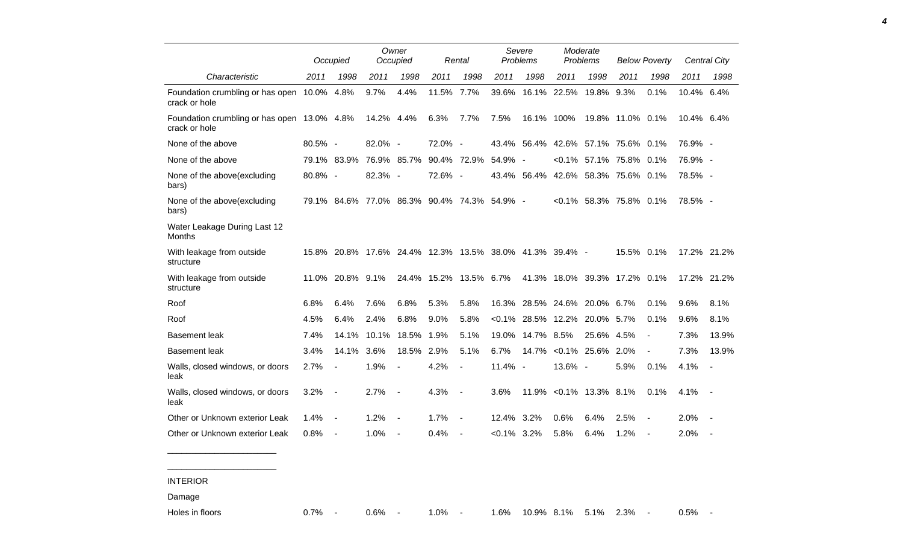|                                                              |            | Occupied                 |         | Owner<br>Occupied                                       |         | Rental                   |                | Severe<br>Problems |           | Moderate<br>Problems |                            | <b>Below Poverty</b>     |            | <b>Central City</b>      |
|--------------------------------------------------------------|------------|--------------------------|---------|---------------------------------------------------------|---------|--------------------------|----------------|--------------------|-----------|----------------------|----------------------------|--------------------------|------------|--------------------------|
| Characteristic                                               | 2011       | 1998                     | 2011    | 1998                                                    | 2011    | 1998                     | 2011           | 1998               | 2011      | 1998                 | 2011                       | 1998                     | 2011       | 1998                     |
| Foundation crumbling or has open 10.0% 4.8%<br>crack or hole |            |                          | 9.7%    | 4.4%                                                    | 11.5%   | 7.7%                     | 39.6%          | 16.1%              | 22.5%     | 19.8%                | 9.3%                       | 0.1%                     | 10.4% 6.4% |                          |
| Foundation crumbling or has open 13.0% 4.8%<br>crack or hole |            |                          | 14.2%   | 4.4%                                                    | 6.3%    | 7.7%                     | 7.5%           | 16.1%              | 100%      | 19.8%                | 11.0% 0.1%                 |                          | 10.4% 6.4% |                          |
| None of the above                                            | $80.5\%$ - |                          | 82.0% - |                                                         | 72.0% - |                          | 43.4%          | 56.4%              | 42.6%     |                      | 57.1% 75.6% 0.1%           |                          | 76.9% -    |                          |
| None of the above                                            | 79.1%      | 83.9%                    |         | 76.9% 85.7%                                             |         | 90.4% 72.9%              | 54.9% -        |                    | $< 0.1\%$ |                      | 57.1% 75.8%                | 0.1%                     | 76.9% -    |                          |
| None of the above(excluding<br>bars)                         | 80.8% -    |                          | 82.3% - |                                                         | 72.6% - |                          |                | 43.4% 56.4%        |           |                      | 42.6% 58.3% 75.6% 0.1%     |                          | 78.5% -    |                          |
| None of the above(excluding<br>bars)                         |            |                          |         | 79.1% 84.6% 77.0% 86.3% 90.4% 74.3%                     |         |                          | 54.9% -        |                    |           |                      | $< 0.1\%$ 58.3% 75.8% 0.1% |                          | 78.5% -    |                          |
| Water Leakage During Last 12<br>Months                       |            |                          |         |                                                         |         |                          |                |                    |           |                      |                            |                          |            |                          |
| With leakage from outside<br>structure                       |            |                          |         | 15.8% 20.8% 17.6% 24.4% 12.3% 13.5% 38.0% 41.3% 39.4% - |         |                          |                |                    |           |                      | 15.5% 0.1%                 |                          |            | 17.2% 21.2%              |
| With leakage from outside<br>structure                       | 11.0%      | 20.8% 9.1%               |         |                                                         |         | 24.4% 15.2% 13.5% 6.7%   |                | 41.3%              | 18.0%     | 39.3%                | 17.2% 0.1%                 |                          |            | 17.2% 21.2%              |
| Roof                                                         | 6.8%       | 6.4%                     | 7.6%    | 6.8%                                                    | 5.3%    | 5.8%                     | 16.3%          | 28.5%              | 24.6%     | 20.0%                | 6.7%                       | 0.1%                     | 9.6%       | 8.1%                     |
| Roof                                                         | 4.5%       | 6.4%                     | 2.4%    | 6.8%                                                    | 9.0%    | 5.8%                     | $< 0.1\%$      | 28.5%              | 12.2%     | 20.0%                | 5.7%                       | 0.1%                     | 9.6%       | 8.1%                     |
| <b>Basement leak</b>                                         | 7.4%       | 14.1%                    | 10.1%   | 18.5%                                                   | 1.9%    | 5.1%                     | 19.0%          | 14.7%              | 8.5%      | 25.6%                | 4.5%                       | $\overline{\phantom{a}}$ | 7.3%       | 13.9%                    |
| <b>Basement leak</b>                                         | 3.4%       | 14.1%                    | 3.6%    | 18.5%                                                   | 2.9%    | 5.1%                     | 6.7%           | 14.7%              |           | $< 0.1\%$ 25.6%      | 2.0%                       |                          | 7.3%       | 13.9%                    |
| Walls, closed windows, or doors<br>leak                      | 2.7%       | $\overline{a}$           | 1.9%    |                                                         | 4.2%    | $\blacksquare$           | 11.4% -        |                    | 13.6% -   |                      | 5.9%                       | 0.1%                     | 4.1%       | $\overline{\phantom{a}}$ |
| Walls, closed windows, or doors<br>leak                      | 3.2%       | $\overline{\phantom{a}}$ | 2.7%    |                                                         | 4.3%    | $\overline{\phantom{a}}$ | 3.6%           | 11.9%              |           | $< 0.1\%$ 13.3%      | 8.1%                       | 0.1%                     | 4.1%       |                          |
| Other or Unknown exterior Leak                               | 1.4%       | $\overline{\phantom{a}}$ | 1.2%    |                                                         | 1.7%    | $\overline{a}$           | 12.4%          | 3.2%               | 0.6%      | 6.4%                 | 2.5%                       |                          | 2.0%       |                          |
| Other or Unknown exterior Leak                               | 0.8%       | $\blacksquare$           | 1.0%    | $\blacksquare$                                          | 0.4%    | $\blacksquare$           | $< 0.1\%$ 3.2% |                    | 5.8%      | 6.4%                 | 1.2%                       | $\overline{\phantom{a}}$ | 2.0%       |                          |

*4*

INTERIOR

\_\_\_\_\_\_\_\_\_\_\_\_\_\_\_\_\_\_\_\_\_\_\_ \_\_\_\_\_\_\_\_\_\_\_\_\_\_\_\_\_\_\_\_\_\_\_

Damage

Holes in floors 0.7% - 0.6% - 1.0% - 1.6% 10.9% 8.1% 5.1% 2.3% - 0.5% -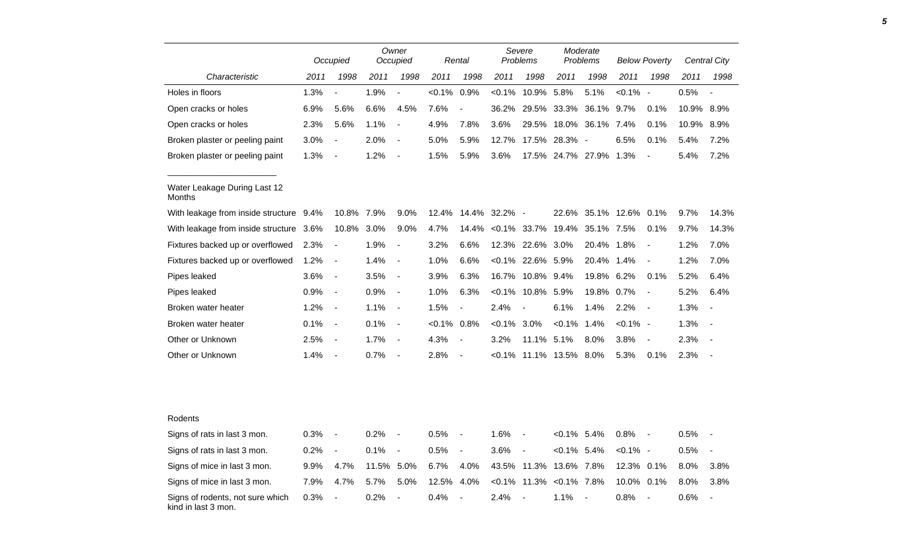|                                         |      | Occupied                 |       | Owner<br>Occupied        |           | Rental                   |           | Severe<br>Problems       |                   | Moderate<br>Problems |             | <b>Below Poverty</b>     |       | Central City             |
|-----------------------------------------|------|--------------------------|-------|--------------------------|-----------|--------------------------|-----------|--------------------------|-------------------|----------------------|-------------|--------------------------|-------|--------------------------|
| Characteristic                          | 2011 | 1998                     | 2011  | 1998                     | 2011      | 1998                     | 2011      | 1998                     | 2011              | 1998                 | 2011        | 1998                     | 2011  | 1998                     |
| Holes in floors                         | 1.3% | $\overline{a}$           | 1.9%  | $\overline{a}$           | $< 0.1\%$ | 0.9%                     | $< 0.1\%$ | 10.9%                    | 5.8%              | 5.1%                 | $< 0.1\%$ - |                          | 0.5%  | $\overline{\phantom{a}}$ |
| Open cracks or holes                    | 6.9% | 5.6%                     | 6.6%  | 4.5%                     | 7.6%      | $\overline{\phantom{a}}$ | 36.2%     | 29.5%                    | 33.3%             | 36.1%                | 9.7%        | 0.1%                     | 10.9% | 8.9%                     |
| Open cracks or holes                    | 2.3% | 5.6%                     | 1.1%  | $\blacksquare$           | 4.9%      | 7.8%                     | 3.6%      | 29.5%                    | 18.0%             | 36.1%                | 7.4%        | 0.1%                     | 10.9% | 8.9%                     |
| Broken plaster or peeling paint         | 3.0% | $\overline{a}$           | 2.0%  | $\overline{\phantom{a}}$ | 5.0%      | 5.9%                     | 12.7%     | 17.5%                    | 28.3% -           |                      | 6.5%        | 0.1%                     | 5.4%  | 7.2%                     |
| Broken plaster or peeling paint         | 1.3% |                          | 1.2%  | $\blacksquare$           | 1.5%      | 5.9%                     | 3.6%      |                          | 17.5% 24.7% 27.9% |                      | 1.3%        |                          | 5.4%  | 7.2%                     |
| Water Leakage During Last 12<br>Months  |      |                          |       |                          |           |                          |           |                          |                   |                      |             |                          |       |                          |
| With leakage from inside structure 9.4% |      | 10.8%                    | 7.9%  | 9.0%                     | 12.4%     | 14.4%                    | 32.2% -   |                          | 22.6%             | 35.1%                | 12.6%       | 0.1%                     | 9.7%  | 14.3%                    |
| With leakage from inside structure      | 3.6% | 10.8%                    | 3.0%  | 9.0%                     | 4.7%      | 14.4%                    | $< 0.1\%$ | 33.7%                    | 19.4%             | 35.1%                | 7.5%        | 0.1%                     | 9.7%  | 14.3%                    |
| Fixtures backed up or overflowed        | 2.3% | $\blacksquare$           | 1.9%  | $\blacksquare$           | 3.2%      | 6.6%                     |           | 12.3% 22.6%              | 3.0%              | 20.4%                | 1.8%        | $\overline{\phantom{a}}$ | 1.2%  | 7.0%                     |
| Fixtures backed up or overflowed        | 1.2% | $\overline{\phantom{a}}$ | 1.4%  | $\overline{\phantom{a}}$ | 1.0%      | 6.6%                     | $< 0.1\%$ | 22.6%                    | 5.9%              | 20.4%                | 1.4%        | $\overline{\phantom{a}}$ | 1.2%  | 7.0%                     |
| Pipes leaked                            | 3.6% | $\overline{\phantom{a}}$ | 3.5%  | $\overline{\phantom{a}}$ | 3.9%      | 6.3%                     | 16.7%     | 10.8%                    | 9.4%              | 19.8%                | 6.2%        | 0.1%                     | 5.2%  | 6.4%                     |
| Pipes leaked                            | 0.9% | $\blacksquare$           | 0.9%  | $\blacksquare$           | 1.0%      | 6.3%                     | $< 0.1\%$ | 10.8%                    | 5.9%              | 19.8%                | 0.7%        | $\overline{\phantom{a}}$ | 5.2%  | 6.4%                     |
| Broken water heater                     | 1.2% | $\overline{\phantom{a}}$ | 1.1%  | $\blacksquare$           | 1.5%      | $\blacksquare$           | 2.4%      | $\overline{\phantom{a}}$ | 6.1%              | 1.4%                 | 2.2%        | $\sim$                   | 1.3%  |                          |
| Broken water heater                     | 0.1% | $\overline{\phantom{a}}$ | 0.1%  | $\blacksquare$           | $< 0.1\%$ | 0.8%                     | $< 0.1\%$ | 3.0%                     | $< 0.1\%$         | 1.4%                 | $< 0.1\%$ - |                          | 1.3%  |                          |
| Other or Unknown                        | 2.5% | $\overline{\phantom{a}}$ | 1.7%  | $\blacksquare$           | 4.3%      | $\overline{\phantom{a}}$ | 3.2%      | 11.1% 5.1%               |                   | 8.0%                 | 3.8%        |                          | 2.3%  |                          |
| Other or Unknown                        | 1.4% | $\blacksquare$           | 0.7%  | $\overline{\phantom{a}}$ | 2.8%      | $\overline{\phantom{a}}$ | $< 0.1\%$ |                          | 11.1% 13.5%       | 8.0%                 | 5.3%        | 0.1%                     | 2.3%  |                          |
|                                         |      |                          |       |                          |           |                          |           |                          |                   |                      |             |                          |       |                          |
| Rodents                                 |      |                          |       |                          |           |                          |           |                          |                   |                      |             |                          |       |                          |
| Signs of rats in last 3 mon.            | 0.3% | $\overline{\phantom{a}}$ | 0.2%  |                          | 0.5%      |                          | 1.6%      | $\overline{\phantom{a}}$ | $< 0.1\%$ 5.4%    |                      | 0.8%        |                          | 0.5%  |                          |
| Signs of rats in last 3 mon.            | 0.2% | $\overline{\phantom{a}}$ | 0.1%  | $\overline{\phantom{a}}$ | 0.5%      | $\blacksquare$           | 3.6%      | $\overline{\phantom{a}}$ | $< 0.1\%$         | 5.4%                 | $< 0.1\%$ - |                          | 0.5%  |                          |
| Signs of mice in last 3 mon.            | 9.9% | 4.7%                     | 11.5% | 5.0%                     | 6.7%      | 4.0%                     | 43.5%     | 11.3%                    | 13.6%             | 7.8%                 | 12.3% 0.1%  |                          | 8.0%  | 3.8%                     |
| Signs of mice in last 3 mon.            | 7.9% | 4.7%                     | 5.7%  | 5.0%                     | 12.5%     | 4.0%                     | $< 0.1\%$ | 11.3%                    | $< 0.1\%$ 7.8%    |                      | 10.0% 0.1%  |                          | 8.0%  | 3.8%                     |

0.3% - 0.2% - 0.4% - 2.4% - 1.1% - 0.8% - 0.6% -

Signs of rodents, not sure which

kind in last 3 mon.

*5*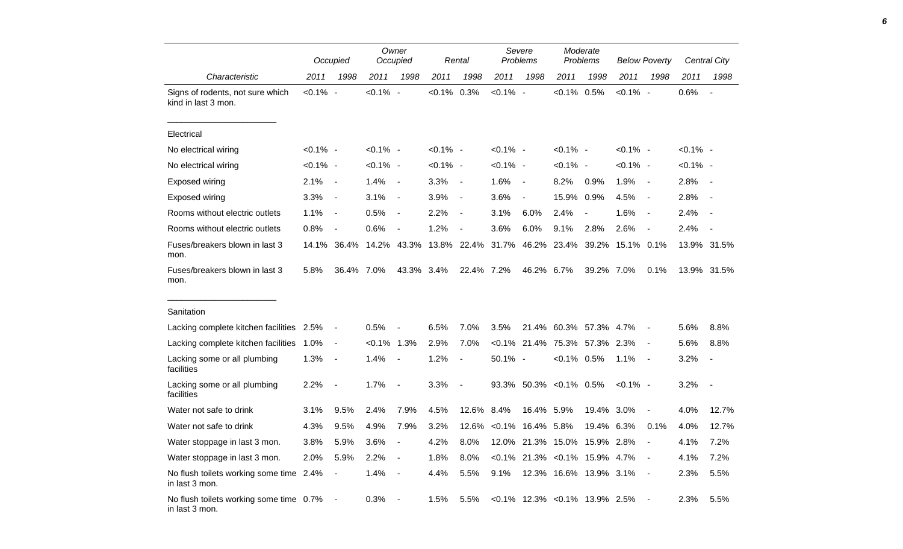|                                                           |             | Occupied                 |             | Owner<br>Occupied        |             | Rental                   |             | Severe<br>Problems                   |                        | Moderate<br>Problems     |             | <b>Below Poverty</b>     |             | Central City             |
|-----------------------------------------------------------|-------------|--------------------------|-------------|--------------------------|-------------|--------------------------|-------------|--------------------------------------|------------------------|--------------------------|-------------|--------------------------|-------------|--------------------------|
| Characteristic                                            | 2011        | 1998                     | 2011        | 1998                     | 2011        | 1998                     | 2011        | 1998                                 | 2011                   | 1998                     | 2011        | 1998                     | 2011        | 1998                     |
| Signs of rodents, not sure which<br>kind in last 3 mon.   | $< 0.1\%$ - |                          | $< 0.1\%$ - |                          | $< 0.1\%$   | 0.3%                     | $< 0.1\%$ - |                                      | $< 0.1\%$ 0.5%         |                          | $< 0.1\%$ - |                          | 0.6%        | $\overline{\phantom{a}}$ |
| Electrical                                                |             |                          |             |                          |             |                          |             |                                      |                        |                          |             |                          |             |                          |
| No electrical wiring                                      | $< 0.1\%$ - |                          | $< 0.1\%$ - |                          | $< 0.1\%$ - |                          | $< 0.1\%$ - |                                      | $< 0.1\%$ -            |                          | $< 0.1\%$ - |                          | $< 0.1\%$ - |                          |
| No electrical wiring                                      | $< 0.1\%$ - |                          | $< 0.1\%$ - |                          | $< 0.1\%$ - |                          | $< 0.1\%$ - |                                      | $< 0.1\%$ -            |                          | $< 0.1\%$ - |                          | $< 0.1\%$ - |                          |
| <b>Exposed wiring</b>                                     | 2.1%        | $\blacksquare$           | 1.4%        | $\blacksquare$           | 3.3%        | $\overline{\phantom{a}}$ | 1.6%        | $\sim$                               | 8.2%                   | 0.9%                     | 1.9%        | $\blacksquare$           | 2.8%        | $\overline{\phantom{a}}$ |
| Exposed wiring                                            | 3.3%        | $\blacksquare$           | 3.1%        | $\blacksquare$           | 3.9%        | $\overline{\phantom{a}}$ | 3.6%        | $\blacksquare$                       | 15.9%                  | 0.9%                     | 4.5%        | $\blacksquare$           | 2.8%        | $\overline{\phantom{a}}$ |
| Rooms without electric outlets                            | 1.1%        | $\overline{\phantom{a}}$ | 0.5%        | $\blacksquare$           | 2.2%        | $\overline{\phantom{a}}$ | 3.1%        | 6.0%                                 | 2.4%                   | $\overline{\phantom{a}}$ | 1.6%        | $\blacksquare$           | 2.4%        |                          |
| Rooms without electric outlets                            | 0.8%        | $\overline{\phantom{a}}$ | 0.6%        | $\blacksquare$           | 1.2%        | $\overline{\phantom{a}}$ | 3.6%        | 6.0%                                 | 9.1%                   | 2.8%                     | 2.6%        | $\overline{\phantom{a}}$ | 2.4%        | $\overline{\phantom{a}}$ |
| Fuses/breakers blown in last 3<br>mon.                    |             | 14.1% 36.4%              |             | 14.2% 43.3%              |             | 13.8% 22.4%              | 31.7%       |                                      | 46.2% 23.4%            | 39.2%                    | 15.1% 0.1%  |                          |             | 13.9% 31.5%              |
| Fuses/breakers blown in last 3<br>mon.                    | 5.8%        | 36.4% 7.0%               |             | 43.3% 3.4%               |             | 22.4% 7.2%               |             | 46.2% 6.7%                           |                        | 39.2% 7.0%               |             | 0.1%                     |             | 13.9% 31.5%              |
| Sanitation                                                |             |                          |             |                          |             |                          |             |                                      |                        |                          |             |                          |             |                          |
| Lacking complete kitchen facilities 2.5%                  |             | $\overline{\phantom{0}}$ | 0.5%        |                          | 6.5%        | 7.0%                     | 3.5%        |                                      | 21.4% 60.3% 57.3%      |                          | 4.7%        |                          | 5.6%        | 8.8%                     |
| Lacking complete kitchen facilities                       | 1.0%        | $\blacksquare$           | $< 0.1\%$   | 1.3%                     | 2.9%        | 7.0%                     |             | $< 0.1\%$ 21.4%                      | 75.3% 57.3%            |                          | 2.3%        |                          | 5.6%        | 8.8%                     |
| Lacking some or all plumbing<br>facilities                | 1.3%        | $\blacksquare$           | 1.4%        | $\overline{\phantom{a}}$ | 1.2%        | $\overline{\phantom{a}}$ | 50.1% -     |                                      | $< 0.1\%$ 0.5%         |                          | 1.1%        | $\sim$                   | 3.2%        | $\overline{\phantom{a}}$ |
| Lacking some or all plumbing<br>facilities                | 2.2%        |                          | 1.7%        | $\blacksquare$           | 3.3%        | $\overline{\phantom{a}}$ |             | 93.3% 50.3% < 0.1% 0.5%              |                        |                          | $< 0.1\%$ - |                          | 3.2%        | $\overline{\phantom{a}}$ |
| Water not safe to drink                                   | 3.1%        | 9.5%                     | 2.4%        | 7.9%                     | 4.5%        | 12.6%                    | 8.4%        | 16.4% 5.9%                           |                        | 19.4%                    | $3.0\%$     | $\blacksquare$           | 4.0%        | 12.7%                    |
| Water not safe to drink                                   | 4.3%        | 9.5%                     | 4.9%        | 7.9%                     | 3.2%        | 12.6%                    |             | $< 0.1\%$ 16.4% 5.8%                 |                        | 19.4% 6.3%               |             | 0.1%                     | 4.0%        | 12.7%                    |
| Water stoppage in last 3 mon.                             | 3.8%        | 5.9%                     | 3.6%        |                          | 4.2%        | 8.0%                     |             | 12.0% 21.3% 15.0% 15.9% 2.8%         |                        |                          |             |                          | 4.1%        | 7.2%                     |
| Water stoppage in last 3 mon.                             | 2.0%        | 5.9%                     | 2.2%        | $\overline{\phantom{a}}$ | 1.8%        | 8.0%                     |             | $< 0.1\%$ 21.3% $< 0.1\%$ 15.9% 4.7% |                        |                          |             | $\sim$ $-$               | 4.1%        | 7.2%                     |
| No flush toilets working some time 2.4%<br>in last 3 mon. |             | $\blacksquare$           | 1.4%        | $\blacksquare$           | 4.4%        | 5.5%                     | 9.1%        |                                      | 12.3% 16.6% 13.9% 3.1% |                          |             |                          | 2.3%        | 5.5%                     |
| No flush toilets working some time 0.7%<br>in last 3 mon. |             | $\sim$                   | 0.3%        | $\overline{\phantom{a}}$ | 1.5%        | 5.5%                     |             | $< 0.1\%$ 12.3% $< 0.1\%$ 13.9% 2.5% |                        |                          |             |                          | 2.3%        | 5.5%                     |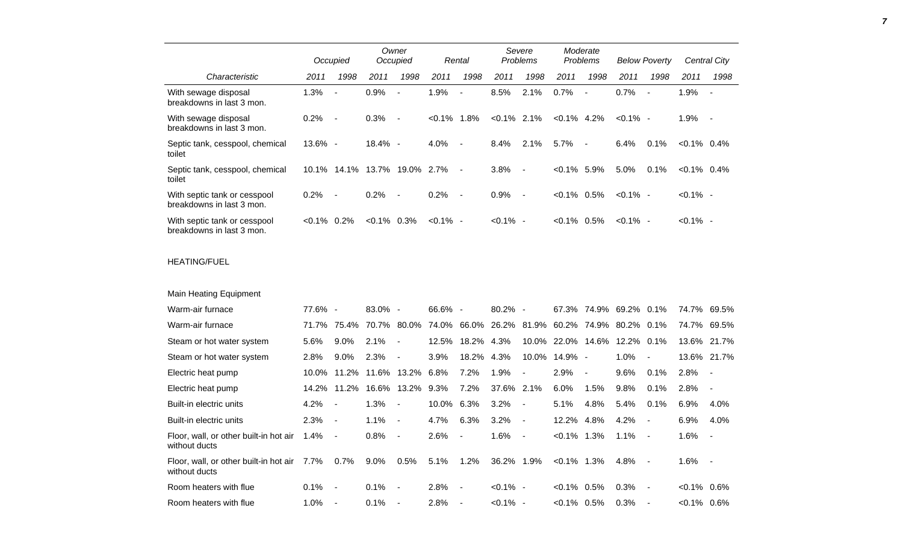|                                                           |          | Occupied                 |            | Owner<br>Occupied        |             | Rental                   |           | Severe<br><b>Problems</b> |                | Moderate<br><b>Problems</b> |             | <b>Below Poverty</b> |                | Central City             |
|-----------------------------------------------------------|----------|--------------------------|------------|--------------------------|-------------|--------------------------|-----------|---------------------------|----------------|-----------------------------|-------------|----------------------|----------------|--------------------------|
| Characteristic                                            | 2011     | 1998                     | 2011       | 1998                     | 2011        | 1998                     | 2011      | 1998                      | 2011           | 1998                        | 2011        | 1998                 | 2011           | 1998                     |
| With sewage disposal<br>breakdowns in last 3 mon.         | 1.3%     | $\overline{\phantom{a}}$ | 0.9%       |                          | 1.9%        | $\blacksquare$           | 8.5%      | 2.1%                      | 0.7%           | $\blacksquare$              | 0.7%        | $\sim$               | 1.9%           | $\overline{\phantom{a}}$ |
| With sewage disposal<br>breakdowns in last 3 mon.         | 0.2%     | $\blacksquare$           | 0.3%       | $\blacksquare$           | $< 0.1\%$   | 1.8%                     | $< 0.1\%$ | $2.1\%$                   | $< 0.1\%$      | 4.2%                        | $< 0.1\%$ - |                      | 1.9%           | $\overline{\phantom{a}}$ |
| Septic tank, cesspool, chemical<br>toilet                 | 13.6% -  |                          | $18.4\% -$ |                          | 4.0%        | $\overline{\phantom{a}}$ | 8.4%      | 2.1%                      | 5.7%           | $\blacksquare$              | 6.4%        | 0.1%                 | $< 0.1\%$ 0.4% |                          |
| Septic tank, cesspool, chemical<br>toilet                 | $10.1\%$ | 14.1%                    | 13.7%      | 19.0%                    | 2.7%        | $\blacksquare$           | 3.8%      | $\blacksquare$            | $< 0.1\%$      | 5.9%                        | 5.0%        | 0.1%                 | $< 0.1\%$ 0.4% |                          |
| With septic tank or cesspool<br>breakdowns in last 3 mon. | 0.2%     |                          | 0.2%       | $\overline{\phantom{a}}$ | 0.2%        | $\overline{\phantom{a}}$ | 0.9%      | $\blacksquare$            | $< 0.1\%$ 0.5% |                             | $< 0.1\%$ - |                      | $< 0.1\%$ -    |                          |
| With septic tank or cesspool<br>breakdowns in last 3 mon. | $<0.1\%$ | $0.2\%$                  | $< 0.1\%$  | 0.3%                     | $< 0.1\%$ - |                          | $<0.1\%$  | $\overline{\phantom{a}}$  | $<0.1\%$ 0.5%  |                             | $< 0.1\%$ - |                      | $< 0.1\%$ -    |                          |

## HEATING/FUEL

Main Heating Equipment

| Warm-air furnace                                        | 77.6% - |                          | $83.0\% -$ |            | $66.6\%$ - |                          | $80.2\%$ -                               |                          |                              | 67.3% 74.9% 69.2% 0.1% |         |                          | 74.7% 69.5%    |            |
|---------------------------------------------------------|---------|--------------------------|------------|------------|------------|--------------------------|------------------------------------------|--------------------------|------------------------------|------------------------|---------|--------------------------|----------------|------------|
| Warm-air furnace                                        | 71.7%   | 75.4%                    | 70.7%      | 80.0%      | 74.0%      |                          | 66.0% 26.2% 81.9% 60.2% 74.9% 80.2% 0.1% |                          |                              |                        |         |                          | 74.7% 69.5%    |            |
| Steam or hot water system                               | 5.6%    | $9.0\%$                  | $2.1\%$    | $\sim$ $-$ | 12.5%      | 18.2% 4.3%               |                                          |                          | 10.0% 22.0% 14.6% 12.2% 0.1% |                        |         |                          | 13.6% 21.7%    |            |
| Steam or hot water system                               | 2.8%    | $9.0\%$                  | 2.3%       | $\sim$ $-$ | 3.9%       | 18.2% 4.3%               |                                          |                          | 10.0% 14.9% -                |                        | $1.0\%$ | $\overline{\phantom{a}}$ | 13.6% 21.7%    |            |
| Electric heat pump                                      | 10.0%   | 11.2%                    | 11.6%      | 13.2%      | 6.8%       | 7.2%                     | 1.9%                                     | $\overline{\phantom{a}}$ | 2.9%                         | $\blacksquare$         | $9.6\%$ | $0.1\%$                  | 2.8%           |            |
| Electric heat pump                                      | 14.2%   | 11.2%                    | 16.6%      | 13.2%      | $9.3\%$    | 7.2%                     | 37.6% 2.1%                               |                          | $6.0\%$                      | 1.5%                   | 9.8%    | $0.1\%$                  | 2.8%           |            |
| Built-in electric units                                 | 4.2%    | $\overline{\phantom{a}}$ | 1.3%       | $\sim$     | 10.0%      | 6.3%                     | $3.2\%$                                  | $\blacksquare$           | 5.1%                         | 4.8%                   | 5.4%    | $0.1\%$                  | $6.9\%$        | 4.0%       |
| Built-in electric units                                 | 2.3%    | $\blacksquare$           | 1.1%       | $\sim$     | 4.7%       | 6.3%                     | 3.2%                                     | $\overline{\phantom{a}}$ | 12.2%                        | 4.8%                   | 4.2%    | $\overline{\phantom{a}}$ | $6.9\%$        | 4.0%       |
| Floor, wall, or other built-in hot air<br>without ducts | 1.4%    | $\blacksquare$           | 0.8%       | $\sim$ $-$ | 2.6%       | $\blacksquare$           | 1.6%                                     | $\blacksquare$           | $<0.1\%$ 1.3%                |                        | 1.1%    | $\overline{\phantom{a}}$ | 1.6%           | $\sim$ $-$ |
| Floor, wall, or other built-in hot air<br>without ducts | 7.7%    | $0.7\%$                  | $9.0\%$    | 0.5%       | 5.1%       | 1.2%                     | 36.2% 1.9%                               |                          | $<0.1\%$ 1.3%                |                        | 4.8%    | $\sim$                   | $1.6\%$        | $\sim$     |
| Room heaters with flue                                  | 0.1%    | $\overline{\phantom{a}}$ | $0.1\%$    | $\sim$ $-$ | 2.8%       | $\blacksquare$           | $< 0.1\%$ -                              |                          | $< 0.1\%$ 0.5%               |                        | 0.3%    | $\overline{\phantom{a}}$ | $< 0.1\%$ 0.6% |            |
| Room heaters with flue                                  | 1.0%    |                          | 0.1%       | $\sim$ $-$ | 2.8%       | $\overline{\phantom{a}}$ | $< 0.1\%$ -                              |                          | $<0.1\%$ 0.5%                |                        | 0.3%    | $\overline{\phantom{a}}$ | $<0.1\%$ 0.6%  |            |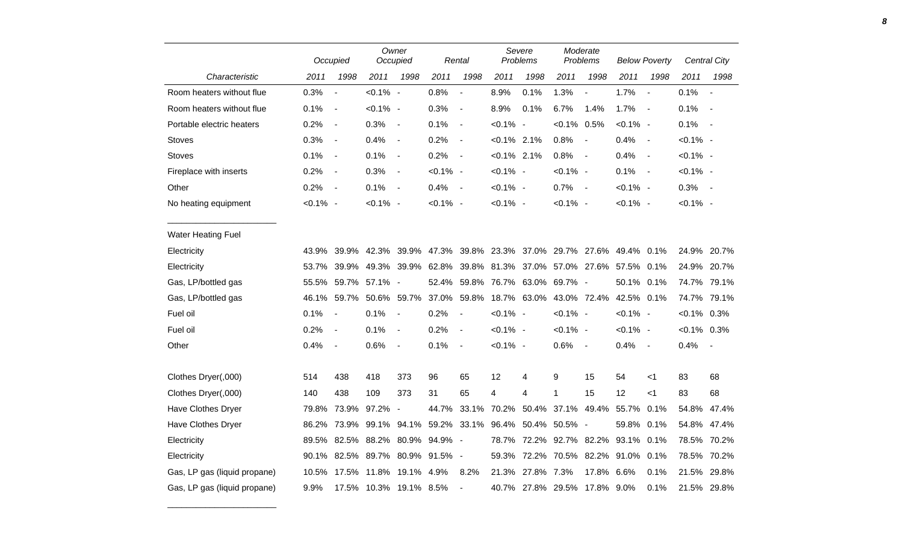|                              |             | Occupied                     |                                 | Owner<br>Occupied        |             | Rental                   |                | Severe<br>Problems                       |                   | Moderate<br>Problems     |             | <b>Below Poverty</b>     |                | <b>Central City</b>      |
|------------------------------|-------------|------------------------------|---------------------------------|--------------------------|-------------|--------------------------|----------------|------------------------------------------|-------------------|--------------------------|-------------|--------------------------|----------------|--------------------------|
| Characteristic               | 2011        | 1998                         | 2011                            | 1998                     | 2011        | 1998                     | 2011           | 1998                                     | 2011              | 1998                     | 2011        | 1998                     | 2011           | 1998                     |
| Room heaters without flue    | 0.3%        | $\overline{\phantom{a}}$     | $< 0.1\%$ -                     |                          | 0.8%        | $\overline{\phantom{a}}$ | 8.9%           | 0.1%                                     | 1.3%              | $\overline{\phantom{a}}$ | 1.7%        | $\overline{\phantom{a}}$ | 0.1%           | $\overline{\phantom{a}}$ |
| Room heaters without flue    | 0.1%        | $\overline{\phantom{a}}$     | $< 0.1\%$ -                     |                          | 0.3%        | $\overline{\phantom{a}}$ | 8.9%           | 0.1%                                     | 6.7%              | 1.4%                     | 1.7%        | $\overline{\phantom{a}}$ | 0.1%           | $\blacksquare$           |
| Portable electric heaters    | 0.2%        | $\overline{\phantom{a}}$     | 0.3%                            | $\blacksquare$           | 0.1%        | $\overline{\phantom{a}}$ | $< 0.1\%$ -    |                                          | $< 0.1\%$ 0.5%    |                          | $< 0.1\%$ - |                          | 0.1%           | $\sim$                   |
| <b>Stoves</b>                | 0.3%        | $\qquad \qquad \blacksquare$ | 0.4%                            | $\blacksquare$           | 0.2%        | $\overline{\phantom{a}}$ | $< 0.1\%$ 2.1% |                                          | 0.8%              | $\overline{\phantom{a}}$ | 0.4%        | $\overline{\phantom{a}}$ | $< 0.1\%$ -    |                          |
| <b>Stoves</b>                | 0.1%        | $\blacksquare$               | 0.1%                            | $\blacksquare$           | 0.2%        | $\overline{\phantom{a}}$ | $< 0.1\%$ 2.1% |                                          | 0.8%              | $\sim$                   | 0.4%        | $\blacksquare$           | $< 0.1\%$ -    |                          |
| Fireplace with inserts       | 0.2%        | $\qquad \qquad \blacksquare$ | 0.3%                            | $\overline{\phantom{a}}$ | $< 0.1\%$ - |                          | $< 0.1\%$ -    |                                          | $< 0.1\%$ -       |                          | 0.1%        | $\sim$                   | $< 0.1\%$ -    |                          |
| Other                        | 0.2%        | $\overline{\phantom{a}}$     | 0.1%                            | $\blacksquare$           | 0.4%        | $\sim$                   | $< 0.1\%$ -    |                                          | 0.7%              | $\sim$                   | $< 0.1\%$ - |                          | 0.3%           | $\sim$ $-$               |
| No heating equipment         | $< 0.1\%$ - |                              | $< 0.1\%$ -                     |                          | $< 0.1\%$ - |                          | $< 0.1\%$ -    |                                          | $< 0.1\%$ -       |                          | $< 0.1\%$ - |                          | $< 0.1\%$ -    |                          |
| <b>Water Heating Fuel</b>    |             |                              |                                 |                          |             |                          |                |                                          |                   |                          |             |                          |                |                          |
| Electricity                  | 43.9%       | 39.9%                        | 42.3%                           | 39.9%                    | 47.3%       |                          |                | 39.8% 23.3% 37.0% 29.7% 27.6% 49.4% 0.1% |                   |                          |             |                          |                | 24.9% 20.7%              |
| Electricity                  | 53.7%       | 39.9%                        |                                 | 49.3% 39.9%              | 62.8%       | 39.8%                    |                | 81.3% 37.0%                              | 57.0% 27.6%       |                          | 57.5% 0.1%  |                          |                | 24.9% 20.7%              |
| Gas, LP/bottled gas          |             |                              | 55.5% 59.7% 57.1% -             |                          | 52.4%       |                          |                | 59.8% 76.7% 63.0%                        | 69.7% -           |                          | 50.1% 0.1%  |                          |                | 74.7% 79.1%              |
| Gas, LP/bottled gas          |             | 46.1% 59.7%                  |                                 | 50.6% 59.7%              |             | 37.0% 59.8%              |                | 18.7% 63.0%                              |                   | 43.0% 72.4%              | 42.5% 0.1%  |                          |                | 74.7% 79.1%              |
| Fuel oil                     | 0.1%        |                              | 0.1%                            | $\blacksquare$           | 0.2%        | $\blacksquare$           | $< 0.1\%$ -    |                                          | $< 0.1\%$ -       |                          | $< 0.1\%$ - |                          | $< 0.1\%$ 0.3% |                          |
| Fuel oil                     | 0.2%        | $\overline{\phantom{a}}$     | 0.1%                            | $\overline{\phantom{a}}$ | 0.2%        | $\blacksquare$           | $< 0.1\%$ -    |                                          | $< 0.1\%$ -       |                          | $< 0.1\%$ - |                          | $< 0.1\%$ 0.3% |                          |
| Other                        | 0.4%        | $\blacksquare$               | 0.6%                            | $\blacksquare$           | 0.1%        | $\blacksquare$           | $< 0.1\%$ -    |                                          | 0.6%              | $\sim$ $-$               | 0.4%        | $\sim$                   | 0.4%           | $\overline{\phantom{a}}$ |
| Clothes Dryer(,000)          | 514         | 438                          | 418                             | 373                      | 96          | 65                       | 12             | 4                                        | 9                 | 15                       | 54          | $<$ 1                    | 83             | 68                       |
| Clothes Dryer(,000)          | 140         | 438                          | 109                             | 373                      | 31          | 65                       | 4              | 4                                        | 1                 | 15                       | 12          | $<$ 1                    | 83             | 68                       |
| Have Clothes Dryer           |             | 79.8% 73.9%                  | 97.2%                           | $\overline{\phantom{a}}$ | 44.7%       | 33.1%                    | 70.2%          | 50.4%                                    | 37.1%             | 49.4%                    | 55.7%       | 0.1%                     |                | 54.8% 47.4%              |
| <b>Have Clothes Dryer</b>    |             | 86.2% 73.9%                  | 99.1%                           | 94.1%                    | 59.2% 33.1% |                          |                | 96.4% 50.4% 50.5% -                      |                   |                          | 59.8%       | 0.1%                     |                | 54.8% 47.4%              |
| Electricity                  |             |                              | 89.5% 82.5% 88.2% 80.9% 94.9% - |                          |             |                          | 78.7%          |                                          | 72.2% 92.7% 82.2% |                          | 93.1% 0.1%  |                          |                | 78.5% 70.2%              |
| Electricity                  |             |                              | 90.1% 82.5% 89.7% 80.9%         |                          | 91.5% -     |                          | 59.3%          |                                          | 72.2% 70.5% 82.2% |                          | 91.0% 0.1%  |                          |                | 78.5% 70.2%              |
| Gas, LP gas (liquid propane) |             | 10.5% 17.5%                  | 11.8%                           | 19.1% 4.9%               |             | 8.2%                     |                | 21.3% 27.8% 7.3%                         |                   | 17.8%                    | 6.6%        | 0.1%                     |                | 21.5% 29.8%              |
| Gas, LP gas (liquid propane) | 9.9%        |                              | 17.5% 10.3% 19.1% 8.5%          |                          |             | $\blacksquare$           |                | 40.7% 27.8% 29.5%                        |                   | 17.8% 9.0%               |             | 0.1%                     |                | 21.5% 29.8%              |

\_\_\_\_\_\_\_\_\_\_\_\_\_\_\_\_\_\_\_\_\_\_\_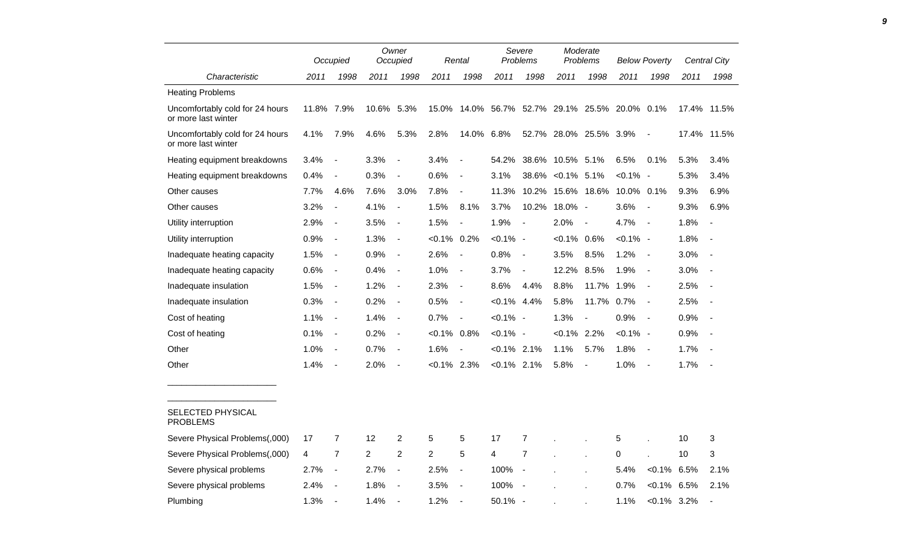|                                                        |            | Occupied                     |       | Owner<br>Occupied        |                | Rental                       |                | Severe<br>Problems                       |                  | Moderate<br><b>Problems</b> |             | <b>Below Poverty</b>     |      | <b>Central City</b>      |
|--------------------------------------------------------|------------|------------------------------|-------|--------------------------|----------------|------------------------------|----------------|------------------------------------------|------------------|-----------------------------|-------------|--------------------------|------|--------------------------|
| Characteristic                                         | 2011       | 1998                         | 2011  | 1998                     | 2011           | 1998                         | 2011           | 1998                                     | 2011             | 1998                        | 2011        | 1998                     | 2011 | 1998                     |
| <b>Heating Problems</b>                                |            |                              |       |                          |                |                              |                |                                          |                  |                             |             |                          |      |                          |
| Uncomfortably cold for 24 hours<br>or more last winter | 11.8% 7.9% |                              | 10.6% | 5.3%                     | 15.0%          |                              |                | 14.0% 56.7% 52.7% 29.1% 25.5% 20.0% 0.1% |                  |                             |             |                          |      | 17.4% 11.5%              |
| Uncomfortably cold for 24 hours<br>or more last winter | 4.1%       | 7.9%                         | 4.6%  | 5.3%                     | 2.8%           | 14.0% 6.8%                   |                |                                          |                  | 52.7% 28.0% 25.5% 3.9%      |             |                          |      | 17.4% 11.5%              |
| Heating equipment breakdowns                           | 3.4%       | $\blacksquare$               | 3.3%  | $\overline{a}$           | 3.4%           |                              | 54.2%          |                                          | 38.6% 10.5% 5.1% |                             | 6.5%        | 0.1%                     | 5.3% | 3.4%                     |
| Heating equipment breakdowns                           | 0.4%       | $\overline{\phantom{a}}$     | 0.3%  | $\overline{a}$           | 0.6%           | $\qquad \qquad \blacksquare$ | 3.1%           | 38.6%                                    | $< 0.1\%$ 5.1%   |                             | $< 0.1\%$   | $\blacksquare$           | 5.3% | 3.4%                     |
| Other causes                                           | 7.7%       | 4.6%                         | 7.6%  | 3.0%                     | 7.8%           | $\blacksquare$               | 11.3%          | 10.2%                                    |                  | 15.6% 18.6%                 | 10.0% 0.1%  |                          | 9.3% | 6.9%                     |
| Other causes                                           | 3.2%       | $\blacksquare$               | 4.1%  | $\blacksquare$           | 1.5%           | 8.1%                         | 3.7%           | 10.2%                                    | $18.0\%$ -       |                             | 3.6%        | $\overline{\phantom{a}}$ | 9.3% | 6.9%                     |
| Utility interruption                                   | 2.9%       | $\overline{\phantom{a}}$     | 3.5%  | $\overline{a}$           | 1.5%           |                              | 1.9%           | $\blacksquare$                           | 2.0%             |                             | 4.7%        | $\blacksquare$           | 1.8% | $\blacksquare$           |
| Utility interruption                                   | 0.9%       | $\qquad \qquad \blacksquare$ | 1.3%  | $\blacksquare$           | $< 0.1\%$ 0.2% |                              | $< 0.1\%$ -    |                                          | $<0.1\%$ 0.6%    |                             | $< 0.1\%$ - |                          | 1.8% | $\blacksquare$           |
| Inadequate heating capacity                            | 1.5%       | $\overline{\phantom{a}}$     | 0.9%  | $\overline{\phantom{a}}$ | 2.6%           | $\blacksquare$               | 0.8%           | $\overline{\phantom{a}}$                 | 3.5%             | 8.5%                        | 1.2%        | $\blacksquare$           | 3.0% | $\overline{\phantom{a}}$ |
| Inadequate heating capacity                            | 0.6%       | $\overline{\phantom{a}}$     | 0.4%  | $\overline{\phantom{a}}$ | 1.0%           | $\blacksquare$               | 3.7%           | $\overline{a}$                           | 12.2%            | 8.5%                        | 1.9%        | $\blacksquare$           | 3.0% |                          |
| Inadequate insulation                                  | 1.5%       | $\overline{\phantom{a}}$     | 1.2%  | $\blacksquare$           | 2.3%           | $\blacksquare$               | 8.6%           | 4.4%                                     | 8.8%             | 11.7%                       | 1.9%        | $\overline{\phantom{a}}$ | 2.5% |                          |
| Inadequate insulation                                  | 0.3%       | $\overline{\phantom{a}}$     | 0.2%  | $\blacksquare$           | 0.5%           | $\overline{\phantom{a}}$     | $< 0.1\%$ 4.4% |                                          | 5.8%             | 11.7% 0.7%                  |             | $\blacksquare$           | 2.5% |                          |
| Cost of heating                                        | 1.1%       | $\blacksquare$               | 1.4%  | $\blacksquare$           | 0.7%           | $\blacksquare$               | $< 0.1\%$ -    |                                          | 1.3%             | $\blacksquare$              | 0.9%        | $\blacksquare$           | 0.9% | $\overline{\phantom{a}}$ |
| Cost of heating                                        | 0.1%       | $\blacksquare$               | 0.2%  | $\blacksquare$           | $< 0.1\%$ 0.8% |                              | $< 0.1\%$ -    |                                          | $<0.1\%$ 2.2%    |                             | $< 0.1\%$ - |                          | 0.9% | $\overline{\phantom{a}}$ |
| Other                                                  | 1.0%       | $\overline{\phantom{a}}$     | 0.7%  | $\overline{\phantom{a}}$ | 1.6%           |                              | $< 0.1\%$      | 2.1%                                     | 1.1%             | 5.7%                        | 1.8%        | $\overline{\phantom{a}}$ | 1.7% |                          |
| Other                                                  | 1.4%       | $\overline{\phantom{a}}$     | 2.0%  | $\blacksquare$           | $<0.1\%$ 2.3%  |                              | $< 0.1\%$ 2.1% |                                          | 5.8%             | $\overline{\phantom{a}}$    | 1.0%        | $\blacksquare$           | 1.7% | $\overline{\phantom{a}}$ |
| SELECTED PHYSICAL<br><b>PROBLEMS</b>                   |            |                              |       |                          |                |                              |                |                                          |                  |                             |             |                          |      |                          |
| Severe Physical Problems(,000)                         | 17         | $\overline{7}$               | 12    | 2                        | 5              | 5                            | 17             | $\overline{7}$                           |                  |                             | 5           |                          | 10   | 3                        |
| Severe Physical Problems(,000)                         | 4          | $\overline{7}$               | 2     | $\overline{2}$           | $\overline{2}$ | 5                            | 4              | $\overline{7}$                           |                  |                             | 0           |                          | 10   | 3                        |
| Severe physical problems                               | 2.7%       | $\overline{\phantom{a}}$     | 2.7%  | $\overline{\phantom{a}}$ | 2.5%           | $\overline{\phantom{a}}$     | 100%           | $\blacksquare$                           |                  |                             | 5.4%        | $< 0.1\%$                | 6.5% | 2.1%                     |
| Severe physical problems                               | 2.4%       |                              | 1.8%  | $\overline{a}$           | 3.5%           |                              | 100%           |                                          |                  |                             | 0.7%        | $< 0.1\%$                | 6.5% | 2.1%                     |
| Plumbing                                               | 1.3%       | $\blacksquare$               | 1.4%  | $\sim$                   | 1.2%           |                              | $50.1\%$ -     |                                          |                  |                             | 1.1%        | $< 0.1\%$ 3.2%           |      |                          |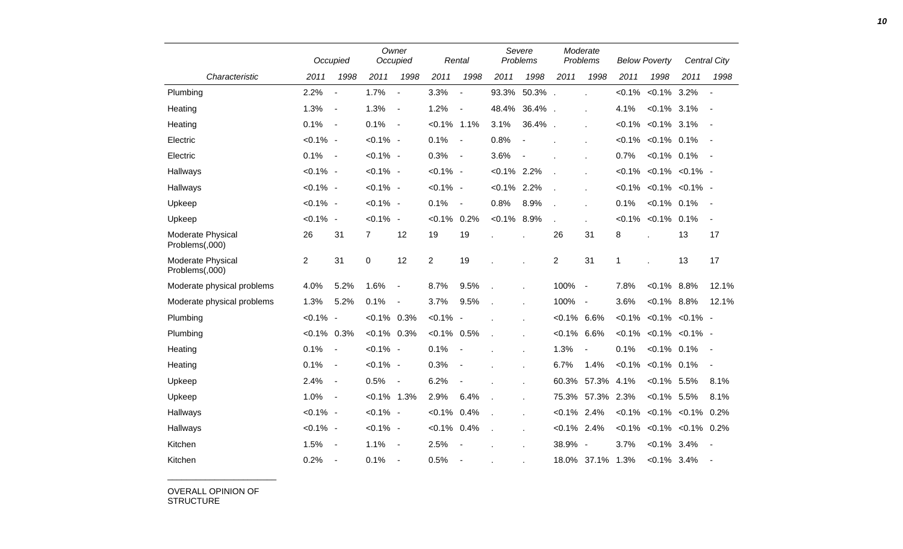|                                     |                | Occupied                 |                | Owner<br>Occupied        |                | Rental                   |                | Severe<br>Problems |                | Moderate<br>Problems |             | <b>Below Poverty</b>               |                          | Central City             |
|-------------------------------------|----------------|--------------------------|----------------|--------------------------|----------------|--------------------------|----------------|--------------------|----------------|----------------------|-------------|------------------------------------|--------------------------|--------------------------|
| Characteristic                      | 2011           | 1998                     | 2011           | 1998                     | 2011           | 1998                     | 2011           | 1998               | 2011           | 1998                 | 2011        | 1998                               | 2011                     | 1998                     |
| Plumbing                            | 2.2%           | $\overline{\phantom{a}}$ | 1.7%           | $\overline{a}$           | 3.3%           | $\blacksquare$           | 93.3%          | 50.3%              |                | ÷                    | $< 0.1\%$   | $< 0.1\%$                          | 3.2%                     | $\overline{\phantom{a}}$ |
| Heating                             | 1.3%           | $\blacksquare$           | 1.3%           | $\overline{\phantom{a}}$ | 1.2%           | $\blacksquare$           | 48.4%          | 36.4%              |                |                      | 4.1%        | $< 0.1\%$ 3.1%                     |                          | $\overline{\phantom{a}}$ |
| Heating                             | 0.1%           | $\overline{\phantom{a}}$ | 0.1%           | $\blacksquare$           | $< 0.1\%$ 1.1% |                          | 3.1%           | 36.4%              |                | ä,                   |             | $< 0.1\%$ $< 0.1\%$ 3.1%           |                          | $\blacksquare$           |
| Electric                            | $< 0.1\%$ -    |                          | $< 0.1\%$ -    |                          | 0.1%           | $\overline{\phantom{a}}$ | 0.8%           |                    |                |                      |             | $< 0.1\%$ < 0.1% 0.1%              |                          |                          |
| Electric                            | 0.1%           | $\blacksquare$           | $< 0.1\%$ -    |                          | 0.3%           | $\sim$                   | 3.6%           |                    |                |                      | 0.7%        | $< 0.1\%$ 0.1%                     |                          |                          |
| Hallways                            | $< 0.1\%$ -    |                          | $< 0.1\%$ -    |                          | $< 0.1\%$ -    |                          | $< 0.1\%$      | 2.2%               |                |                      |             | $< 0.1\%$ $< 0.1\%$ $< 0.1\%$ -    |                          |                          |
| Hallways                            | $< 0.1\%$ -    |                          | $< 0.1\%$ -    |                          | $< 0.1\%$ -    |                          | $< 0.1\%$ 2.2% |                    |                |                      |             | $< 0.1\%$ $< 0.1\%$ $< 0.1\%$ -    |                          |                          |
| Upkeep                              | $< 0.1\%$ -    |                          | $< 0.1\%$ -    |                          | 0.1%           | $\blacksquare$           | 0.8%           | 8.9%               |                | ÷.                   | 0.1%        | $< 0.1\%$ 0.1%                     |                          | $\overline{\phantom{a}}$ |
| Upkeep                              | $< 0.1\%$ -    |                          | $< 0.1\%$ -    |                          | $< 0.1\%$ 0.2% |                          | $< 0.1\%$ 8.9% |                    |                | ÷.                   | $< 0.1\%$   | $< 0.1\%$ 0.1%                     |                          | $\blacksquare$           |
| Moderate Physical<br>Problems(,000) | 26             | 31                       | 7              | 12                       | 19             | 19                       |                |                    | 26             | 31                   | 8           |                                    | 13                       | 17                       |
| Moderate Physical<br>Problems(,000) | $\overline{2}$ | 31                       | $\mathsf 0$    | 12                       | $\overline{2}$ | 19                       |                |                    | $\overline{2}$ | 31                   | $\mathbf 1$ |                                    | 13                       | 17                       |
| Moderate physical problems          | 4.0%           | 5.2%                     | 1.6%           | $\blacksquare$           | 8.7%           | 9.5%                     |                |                    | 100%           | $\blacksquare$       | 7.8%        | $< 0.1\%$ 8.8%                     |                          | 12.1%                    |
| Moderate physical problems          | 1.3%           | 5.2%                     | 0.1%           | $\overline{\phantom{a}}$ | 3.7%           | 9.5%                     |                |                    | 100%           | $\blacksquare$       | 3.6%        | $< 0.1\%$ 8.8%                     |                          | 12.1%                    |
| Plumbing                            | $< 0.1\%$ -    |                          | $< 0.1\%$      | 0.3%                     | $< 0.1\%$ -    |                          |                |                    | $< 0.1\%$ 6.6% |                      | $< 0.1\%$   |                                    | $< 0.1\%$ $< 0.1\%$ -    |                          |
| Plumbing                            | $< 0.1\%$ 0.3% |                          | $< 0.1\%$ 0.3% |                          | $< 0.1\%$ 0.5% |                          |                |                    | $< 0.1\%$      | 6.6%                 |             | $< 0.1\%$ $< 0.1\%$ $< 0.1\%$ -    |                          |                          |
| Heating                             | 0.1%           | $\blacksquare$           | $< 0.1\%$ -    |                          | 0.1%           | $\overline{\phantom{a}}$ |                | $\mathbf{r}$       | 1.3%           | $\frac{1}{2}$        | 0.1%        | $< 0.1\%$ 0.1%                     |                          | $\overline{\phantom{a}}$ |
| Heating                             | 0.1%           | $\overline{\phantom{a}}$ | $< 0.1\%$ -    |                          | 0.3%           | $\overline{\phantom{a}}$ |                |                    | 6.7%           | 1.4%                 | $< 0.1\%$   | $< 0.1\%$ 0.1%                     |                          | $\blacksquare$           |
| Upkeep                              | 2.4%           | $\blacksquare$           | 0.5%           | $\overline{\phantom{a}}$ | 6.2%           | $\blacksquare$           |                |                    | 60.3%          | 57.3%                | 4.1%        | $< 0.1\%$ 5.5%                     |                          | 8.1%                     |
| Upkeep                              | 1.0%           | $\overline{\phantom{a}}$ | $< 0.1\%$ 1.3% |                          | 2.9%           | 6.4%                     |                |                    | 75.3%          | 57.3%                | 2.3%        | $< 0.1\%$ 5.5%                     |                          | 8.1%                     |
| Hallways                            | $< 0.1\%$ -    |                          | $< 0.1\%$ -    |                          | $< 0.1\%$ 0.4% |                          |                | $\epsilon$         | $< 0.1\%$ 2.4% |                      |             | $< 0.1\%$ $< 0.1\%$ $< 0.1\%$ 0.2% |                          |                          |
| Hallways                            | $< 0.1\%$ -    |                          | $< 0.1\%$ -    |                          | $< 0.1\%$ 0.4% |                          | $\mathbf{r}$   | $\mathbf{r}$       | $< 0.1\%$ 2.4% |                      | $< 0.1\%$   |                                    | $< 0.1\%$ $< 0.1\%$ 0.2% |                          |
| Kitchen                             | 1.5%           | $\blacksquare$           | 1.1%           | $\blacksquare$           | 2.5%           |                          |                |                    | 38.9% -        |                      | 3.7%        | $< 0.1\%$ 3.4%                     |                          | $\blacksquare$           |
| Kitchen                             | 0.2%           | $\overline{\phantom{a}}$ | 0.1%           | $\blacksquare$           | 0.5%           | $\blacksquare$           |                |                    |                | 18.0% 37.1%          | 1.3%        | $< 0.1\%$                          | 3.4%                     |                          |

OVERALL OPINION OF STRUCTURE

\_\_\_\_\_\_\_\_\_\_\_\_\_\_\_\_\_\_\_\_\_\_\_